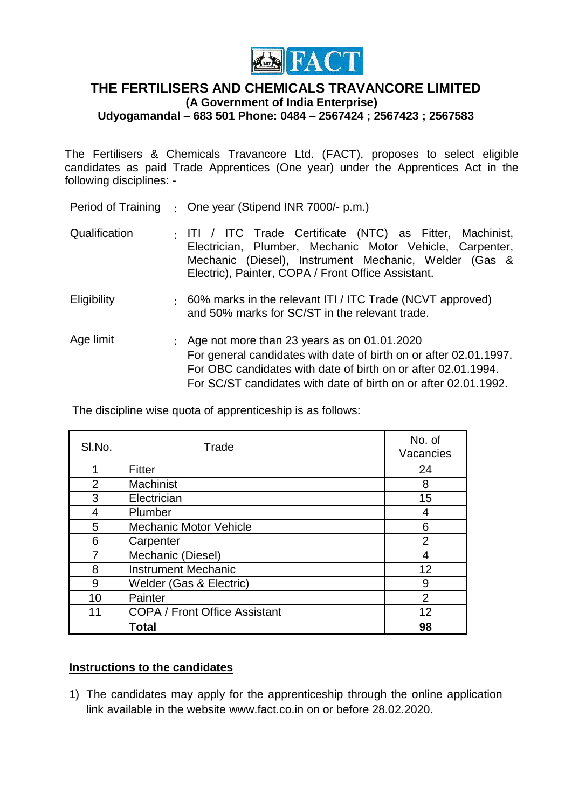

## **THE FERTILISERS AND CHEMICALS TRAVANCORE LIMITED (A Government of India Enterprise) Udyogamandal – 683 501 Phone: 0484 – 2567424 ; 2567423 ; 2567583**

The Fertilisers & Chemicals Travancore Ltd. (FACT), proposes to select eligible candidates as paid Trade Apprentices (One year) under the Apprentices Act in the following disciplines: -

|  |  | Period of Training : One year (Stipend INR 7000/- p.m.) |
|--|--|---------------------------------------------------------|
|--|--|---------------------------------------------------------|

- Qualification : ITI / ITC Trade Certificate (NTC) as Fitter, Machinist, Electrician, Plumber, Mechanic Motor Vehicle, Carpenter, Mechanic (Diesel), Instrument Mechanic, Welder (Gas & Electric), Painter, COPA / Front Office Assistant.
- Eligibility : 60% marks in the relevant ITI / ITC Trade (NCVT approved) and 50% marks for SC/ST in the relevant trade.
- Age limit : Age not more than 23 years as on 01.01.2020 For general candidates with date of birth on or after 02.01.1997. For OBC candidates with date of birth on or after 02.01.1994. For SC/ST candidates with date of birth on or after 02.01.1992.

The discipline wise quota of apprenticeship is as follows:

| SI.No.         | Trade                                | No. of<br>Vacancies |
|----------------|--------------------------------------|---------------------|
| 1              | Fitter                               | 24                  |
| $\overline{2}$ | Machinist                            | 8                   |
| 3              | Electrician                          | 15                  |
| 4              | Plumber                              | 4                   |
| 5              | <b>Mechanic Motor Vehicle</b>        | 6                   |
| 6              | Carpenter                            | 2                   |
| 7              | Mechanic (Diesel)                    |                     |
| 8              | <b>Instrument Mechanic</b>           | 12                  |
| 9              | Welder (Gas & Electric)              | 9                   |
| 10             | Painter                              | $\overline{2}$      |
| 11             | <b>COPA / Front Office Assistant</b> | 12                  |
|                | Total                                | 98                  |

## **Instructions to the candidates**

1) The candidates may apply for the apprenticeship through the online application link available in the website www.fact.co.in on or before 28.02.2020.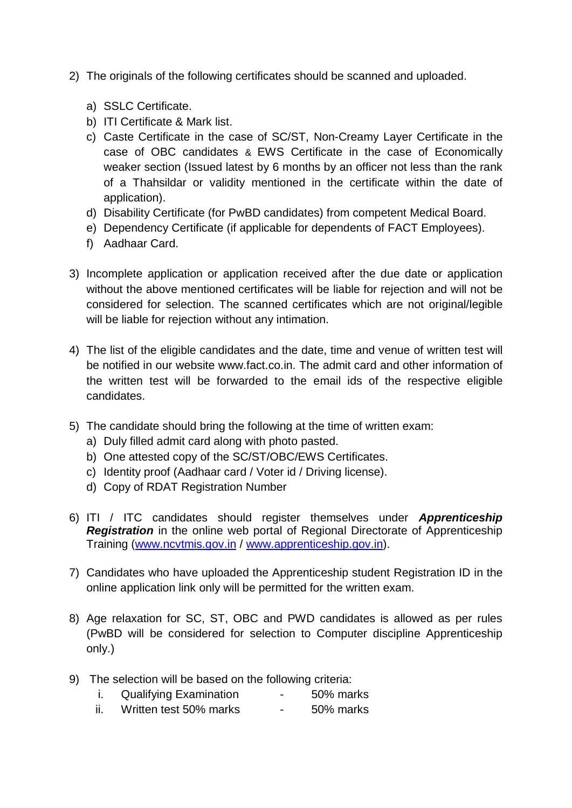- 2) The originals of the following certificates should be scanned and uploaded.
	- a) SSLC Certificate.
	- b) ITI Certificate & Mark list.
	- c) Caste Certificate in the case of SC/ST, Non-Creamy Layer Certificate in the case of OBC candidates & EWS Certificate in the case of Economically weaker section (Issued latest by 6 months by an officer not less than the rank of a Thahsildar or validity mentioned in the certificate within the date of application).
	- d) Disability Certificate (for PwBD candidates) from competent Medical Board.
	- e) Dependency Certificate (if applicable for dependents of FACT Employees).
	- f) Aadhaar Card.
- 3) Incomplete application or application received after the due date or application without the above mentioned certificates will be liable for rejection and will not be considered for selection. The scanned certificates which are not original/legible will be liable for rejection without any intimation.
- 4) The list of the eligible candidates and the date, time and venue of written test will be notified in our website www.fact.co.in. The admit card and other information of the written test will be forwarded to the email ids of the respective eligible candidates.
- 5) The candidate should bring the following at the time of written exam:
	- a) Duly filled admit card along with photo pasted.
	- b) One attested copy of the SC/ST/OBC/EWS Certificates.
	- c) Identity proof (Aadhaar card / Voter id / Driving license).
	- d) Copy of RDAT Registration Number
- 6) ITI / ITC candidates should register themselves under *Apprenticeship Registration* in the online web portal of Regional Directorate of Apprenticeship Training [\(www.ncvtmis.gov.in](http://www.ncvtmis.gov.in/) / [www.apprenticeship.gov.in\)](http://www.apprenticeship.gov.in/).
- 7) Candidates who have uploaded the Apprenticeship student Registration ID in the online application link only will be permitted for the written exam.
- 8) Age relaxation for SC, ST, OBC and PWD candidates is allowed as per rules (PwBD will be considered for selection to Computer discipline Apprenticeship only.)
- 9) The selection will be based on the following criteria:
	- i. Qualifying Examination 50% marks
	- ii. Written test 50% marks 50% marks